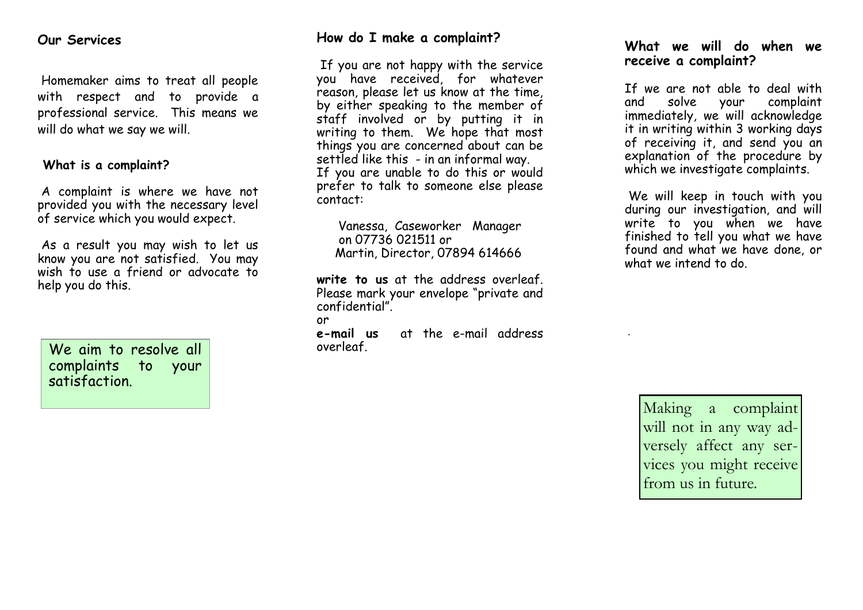### **Our Services**

Homemaker aims to treat all people with respect and to provide a professional service. This means we will do what we say we will.

#### **What is a complaint?**

A complaint is where we have not provided you with the necessary level of service which you would expect.

As a result you may wish to let us know you are not satisfied. You may wish to use a friend or advocate to help you do this.

We aim to resolve all complaints to your satisfaction.

## **How do I make a complaint?**

If you are not happy with the service you have received, for whatever reason, please let us know at the time, by either speaking to the member of staff involved or by putting it in writing to them. We hope that most things you are concerned about can be settled like this - in an informal way. If you are unable to do this or would prefer to talk to someone else please contact:

Vanessa, Caseworker Manager on 07736 021511 or Martin, Director, 07894 614666

**write to us** at the address overleaf. Please mark your envelope "private and confidential".

or

**e-mail us** at the e-mail address overleaf.

#### **What we will do when we receive a complaint?**

If we are not able to deal with<br>and solve your complaint and solve your complaint immediately, we will acknowledge it in writing within 3 working days of receiving it, and send you an explanation of the procedure by which we investigate complaints.

We will keep in touch with you during our investigation, and will write to you when we have finished to tell you what we have found and what we have done, or what we intend to do.

Making a complaint will not in any way adversely affect any services you might receive from us in future.

.